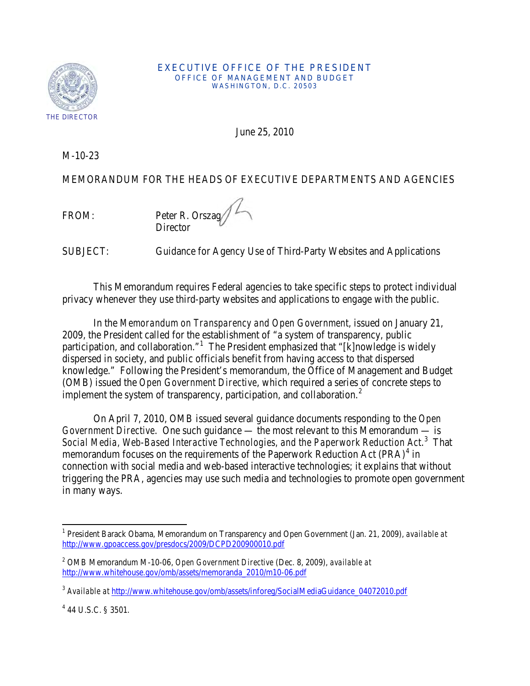

#### EXECUTIVE OFFICE OF THE PRESIDENT OFFICE OF MANAGEMENT AND BUDGET WASHINGTON, D.C. 20503

June 25, 2010

M-10-23

# MEMORANDUM FOR THE HEADS OF EXECUTIVE DEPARTMENTS AND AGENCIES

FROM: Peter R. Orszag/ Director

SUBJECT: Guidance for Agency Use of Third-Party Websites and Applications

This Memorandum requires Federal agencies to take specific steps to protect individual privacy whenever they use third-party websites and applications to engage with the public.

In the *Memorandum on Transparency and Open Government*, issued on January 21, 2009, the President called for the establishment of "a system of transparency, public participation, and collaboration."<sup>[1](#page-0-0)</sup> The President emphasized that "[k]nowledge is widely dispersed in society, and public officials benefit from having access to that dispersed knowledge." Following the President's memorandum, the Office of Management and Budget (OMB) issued the *Open Government Directive*, which required a series of concrete steps to implement the system of transparency, participation, and collaboration.<sup>[2](#page-0-1)</sup>

On April 7, 2010, OMB issued several guidance documents responding to the *Open Government Directive*. One such guidance — the most relevant to this Memorandum — is Social Media, Web-Based Interactive Technologies, and the Paperwork Reduction Act.<sup>[3](#page-0-2)</sup> That memorandum focuses on the requirements of the Paperwork Reduction Act  $(PRA)^4$  $(PRA)^4$  in connection with social media and web-based interactive technologies; it explains that without triggering the PRA, agencies may use such media and technologies to promote open government in many ways.

<span id="page-0-3"></span> $444$  U.S.C. § 3501.

ı

<span id="page-0-0"></span><sup>1</sup> President Barack Obama, Memorandum on Transparency and Open Government (Jan. 21, 2009), *available at* <http://www.gpoaccess.gov/presdocs/2009/DCPD200900010.pdf>

<span id="page-0-1"></span><sup>2</sup> OMB Memorandum M-10-06, *Open Government Directive* (Dec. 8, 2009), *available at*  [http://www.whitehouse.gov/omb/assets/memoranda\\_2010/m10-06.pdf](http://www.whitehouse.gov/omb/assets/memoranda_2010/m10-06.pdf)

<span id="page-0-2"></span><sup>&</sup>lt;sup>3</sup> Available at [http://www.whitehouse.gov/omb/assets/inforeg/SocialMediaGuidance\\_04072010.pdf](http://www.whitehouse.gov/omb/assets/inforeg/SocialMediaGuidance_04072010.pdf)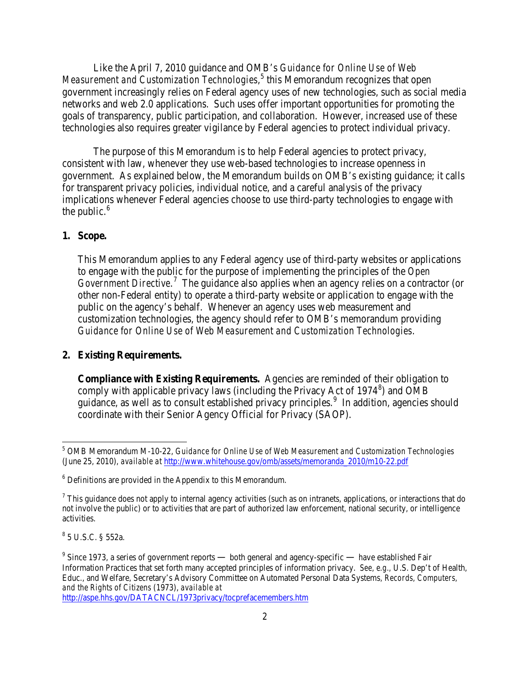Like the April 7, 2010 guidance and OMB's *Guidance for Online Use of Web*  Measurement and Customization Technologies,<sup>[5](#page-1-0)</sup> this Memorandum recognizes that open government increasingly relies on Federal agency uses of new technologies, such as social media networks and web 2.0 applications. Such uses offer important opportunities for promoting the goals of transparency, public participation, and collaboration. However, increased use of these technologies also requires greater vigilance by Federal agencies to protect individual privacy.

The purpose of this Memorandum is to help Federal agencies to protect privacy, consistent with law, whenever they use web-based technologies to increase openness in government. As explained below, the Memorandum builds on OMB's existing guidance; it calls for transparent privacy policies, individual notice, and a careful analysis of the privacy implications whenever Federal agencies choose to use third-party technologies to engage with the public. $6$ 

#### **1. Scope.**

This Memorandum applies to any Federal agency use of third-party websites or applications to engage with the public for the purpose of implementing the principles of the *Open Government Directive*. [7](#page-1-2) The guidance also applies when an agency relies on a contractor (or other non-Federal entity) to operate a third-party website or application to engage with the public on the agency's behalf. Whenever an agency uses web measurement and customization technologies, the agency should refer to OMB's memorandum providing *Guidance for Online Use of Web Measurement and Customization Technologies*.

#### **2. Existing Requirements.**

**Compliance with Existing Requirements.** Agencies are reminded of their obligation to comply with applicable privacy laws (including the Privacy Act of  $1974^8$  $1974^8$ ) and OMB guidance, as well as to consult established privacy principles.<sup>[9](#page-1-4)</sup> In addition, agencies should coordinate with their Senior Agency Official for Privacy (SAOP).

<span id="page-1-3"></span><sup>8</sup> 5 U.S.C. § 552a.

ı

<span id="page-1-0"></span><sup>5</sup> OMB Memorandum M-10-22, *Guidance for Online Use of Web Measurement and Customization Technologies*  (June 25, 2010), *available at* [http://www.whitehouse.gov/omb/assets/memoranda\\_2010/m10-22.pdf](http://www.whitehouse.gov/omb/assets/memoranda_2010/m10-22.pdf)

<span id="page-1-1"></span><sup>6</sup> Definitions are provided in the Appendix to this Memorandum.

<span id="page-1-2"></span> $<sup>7</sup>$  This guidance does not apply to internal agency activities (such as on intranets, applications, or interactions that do</sup> not involve the public) or to activities that are part of authorized law enforcement, national security, or intelligence activities.

<span id="page-1-4"></span><sup>&</sup>lt;sup>9</sup> Since 1973, a series of government reports — both general and agency-specific — have established Fair Information Practices that set forth many accepted principles of information privacy. *See, e.g.,* U.S. Dep't of Health, Educ., and Welfare, Secretary's Advisory Committee on Automated Personal Data Systems*, Records, Computers, and the Rights of Citizens* (1973), *available at* 

<http://aspe.hhs.gov/DATACNCL/1973privacy/tocprefacemembers.htm>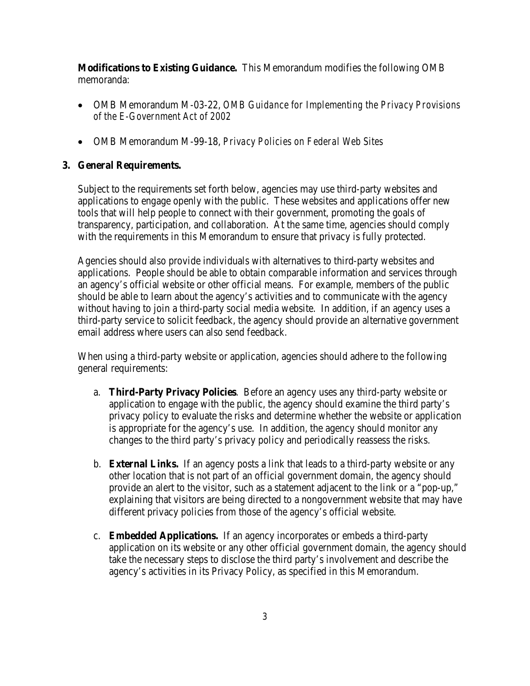**Modifications to Existing Guidance.** This Memorandum modifies the following OMB memoranda:

- OMB Memorandum M-03-22, *OMB Guidance for Implementing the Privacy Provisions of the E-Government Act of 2002*
- OMB Memorandum M-99-18, *Privacy Policies on Federal Web Sites*

#### **3. General Requirements.**

Subject to the requirements set forth below, agencies may use third-party websites and applications to engage openly with the public. These websites and applications offer new tools that will help people to connect with their government, promoting the goals of transparency, participation, and collaboration. At the same time, agencies should comply with the requirements in this Memorandum to ensure that privacy is fully protected.

Agencies should also provide individuals with alternatives to third-party websites and applications. People should be able to obtain comparable information and services through an agency's official website or other official means. For example, members of the public should be able to learn about the agency's activities and to communicate with the agency without having to join a third-party social media website. In addition, if an agency uses a third-party service to solicit feedback, the agency should provide an alternative government email address where users can also send feedback.

When using a third-party website or application, agencies should adhere to the following general requirements:

- a. **Third-Party Privacy Policies**. Before an agency uses any third-party website or application to engage with the public, the agency should examine the third party's privacy policy to evaluate the risks and determine whether the website or application is appropriate for the agency's use. In addition, the agency should monitor any changes to the third party's privacy policy and periodically reassess the risks.
- b. **External Links.** If an agency posts a link that leads to a third-party website or any other location that is not part of an official government domain, the agency should provide an alert to the visitor, such as a statement adjacent to the link or a "pop-up," explaining that visitors are being directed to a nongovernment website that may have different privacy policies from those of the agency's official website.
- c. **Embedded Applications.** If an agency incorporates or embeds a third-party application on its website or any other official government domain, the agency should take the necessary steps to disclose the third party's involvement and describe the agency's activities in its Privacy Policy, as specified in this Memorandum.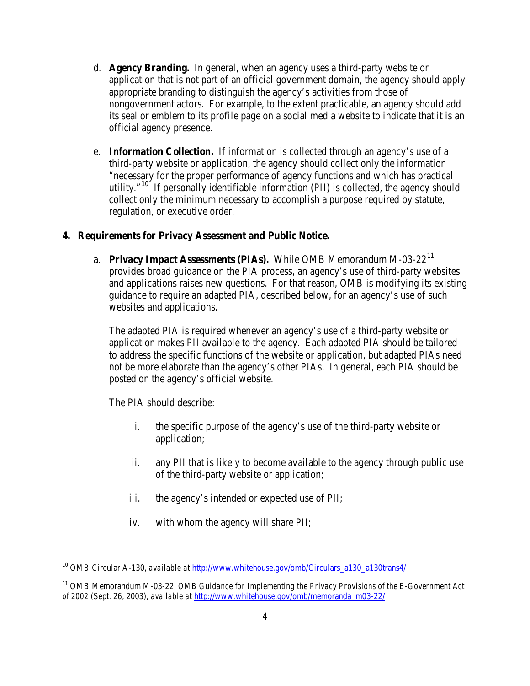- d. **Agency Branding.** In general, when an agency uses a third-party website or application that is not part of an official government domain, the agency should apply appropriate branding to distinguish the agency's activities from those of nongovernment actors. For example, to the extent practicable, an agency should add its seal or emblem to its profile page on a social media website to indicate that it is an official agency presence.
- e. **Information Collection.** If information is collected through an agency's use of a third-party website or application, the agency should collect only the information "necessary for the proper performance of agency functions and which has practical utility. $10^{\circ}$  If personally identifiable information (PII) is collected, the agency should collect only the minimum necessary to accomplish a purpose required by statute, regulation, or executive order.

#### **4. Requirements for Privacy Assessment and Public Notice.**

a. **Privacy Impact Assessments (PIAs).** While OMB Memorandum M-03-22[11](#page-3-1) provides broad guidance on the PIA process, an agency's use of third-party websites and applications raises new questions. For that reason, OMB is modifying its existing guidance to require an adapted PIA, described below, for an agency's use of such websites and applications.

The adapted PIA is required whenever an agency's use of a third-party website or application makes PII available to the agency. Each adapted PIA should be tailored to address the specific functions of the website or application, but adapted PIAs need not be more elaborate than the agency's other PIAs. In general, each PIA should be posted on the agency's official website.

The PIA should describe:

ı

- i. the specific purpose of the agency's use of the third-party website or application;
- ii. any PII that is likely to become available to the agency through public use of the third-party website or application;
- iii. the agency's intended or expected use of PII;
- iv. with whom the agency will share PII;

<span id="page-3-0"></span><sup>&</sup>lt;sup>10</sup> OMB Circular A-130, *available at* [http://www.whitehouse.gov/omb/Circulars\\_a130\\_a130trans4/](http://www.whitehouse.gov/omb/Circulars_a130_a130trans4/)

<span id="page-3-1"></span><sup>&</sup>lt;sup>11</sup> OMB Memorandum M-03-22, *OMB Guidance for Implementing the Privacy Provisions of the E-Government Act of 2002* (Sept. 26, 2003), *available at* [http://www.whitehouse.gov/omb/memoranda\\_m03-22/](http://www.whitehouse.gov/omb/memoranda_m03-22/)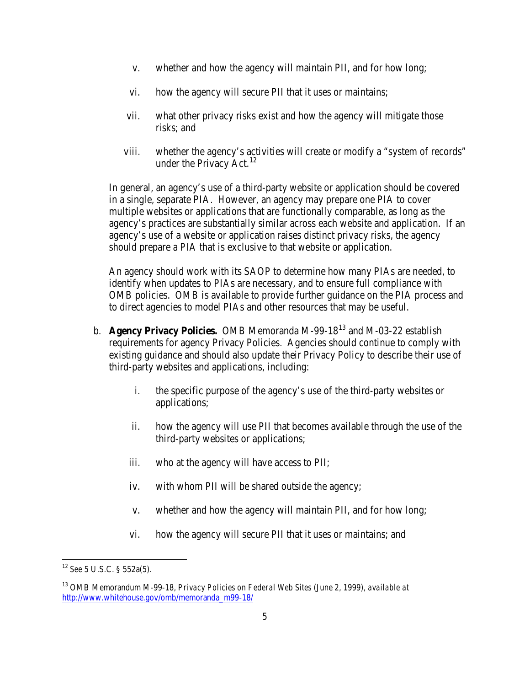- v. whether and how the agency will maintain PII, and for how long;
- vi. how the agency will secure PII that it uses or maintains;
- vii. what other privacy risks exist and how the agency will mitigate those risks; and
- viii. whether the agency's activities will create or modify a "system of records" under the Privacy Act. $^{12}$  $^{12}$  $^{12}$

In general, an agency's use of a third-party website or application should be covered in a single, separate PIA. However, an agency may prepare one PIA to cover multiple websites or applications that are functionally comparable, as long as the agency's practices are substantially similar across each website and application. If an agency's use of a website or application raises distinct privacy risks, the agency should prepare a PIA that is exclusive to that website or application.

An agency should work with its SAOP to determine how many PIAs are needed, to identify when updates to PIAs are necessary, and to ensure full compliance with OMB policies. OMB is available to provide further guidance on the PIA process and to direct agencies to model PIAs and other resources that may be useful.

- b. **Agency Privacy Policies.** OMB Memoranda M-99-18<sup>13</sup> and M-03-22 establish requirements for agency Privacy Policies. Agencies should continue to comply with existing guidance and should also update their Privacy Policy to describe their use of third-party websites and applications, including:
	- i. the specific purpose of the agency's use of the third-party websites or applications;
	- ii. how the agency will use PII that becomes available through the use of the third-party websites or applications;
	- iii. who at the agency will have access to PII;
	- iv. with whom PII will be shared outside the agency;
	- v. whether and how the agency will maintain PII, and for how long;
	- vi. how the agency will secure PII that it uses or maintains; and

l

<span id="page-4-0"></span><sup>12</sup> *See* 5 U.S.C. § 552a(5).

<span id="page-4-1"></span><sup>13</sup> OMB Memorandum M-99-18, *Privacy Policies on Federal Web Sites* (June 2, 1999), *available at* [http://www.whitehouse.gov/omb/memoranda\\_m99-18/](http://www.whitehouse.gov/omb/memoranda_m99-18/)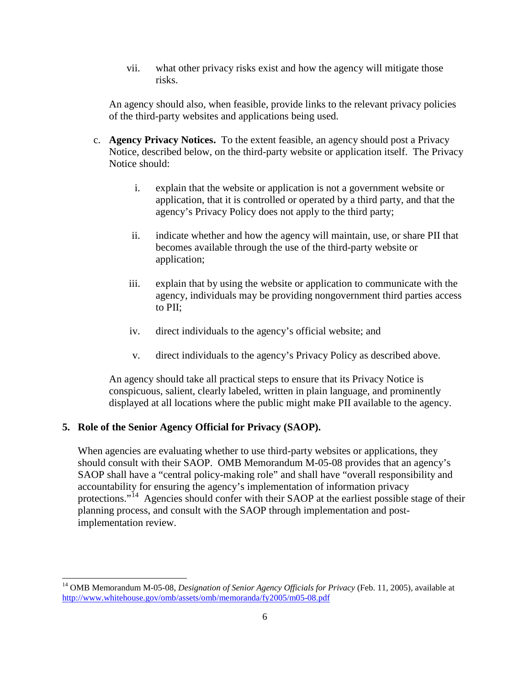vii. what other privacy risks exist and how the agency will mitigate those risks.

An agency should also, when feasible, provide links to the relevant privacy policies of the third-party websites and applications being used.

- c. **Agency Privacy Notices.** To the extent feasible, an agency should post a Privacy Notice, described below, on the third-party website or application itself.The Privacy Notice should:
	- i. explain that the website or application is not a government website or application, that it is controlled or operated by a third party, and that the agency's Privacy Policy does not apply to the third party;
	- ii. indicate whether and how the agency will maintain, use, or share PII that becomes available through the use of the third-party website or application;
	- iii. explain that by using the website or application to communicate with the agency, individuals may be providing nongovernment third parties access to PII;
	- iv. direct individuals to the agency's official website; and
	- v. direct individuals to the agency's Privacy Policy as described above.

An agency should take all practical steps to ensure that its Privacy Notice is conspicuous, salient, clearly labeled, written in plain language, and prominently displayed at all locations where the public might make PII available to the agency.

## **5. Role of the Senior Agency Official for Privacy (SAOP).**

When agencies are evaluating whether to use third-party websites or applications, they should consult with their SAOP. OMB Memorandum M-05-08 provides that an agency's SAOP shall have a "central policy-making role" and shall have "overall responsibility and accountability for ensuring the agency's implementation of information privacy protections."<sup>[14](#page-5-0)</sup> Agencies should confer with their SAOP at the earliest possible stage of their planning process, and consult with the SAOP through implementation and postimplementation review.

<span id="page-5-0"></span><sup>14</sup> OMB Memorandum M-05-08, *Designation of Senior Agency Officials for Privacy* (Feb. 11, 2005)*,* available at <http://www.whitehouse.gov/omb/assets/omb/memoranda/fy2005/m05-08.pdf>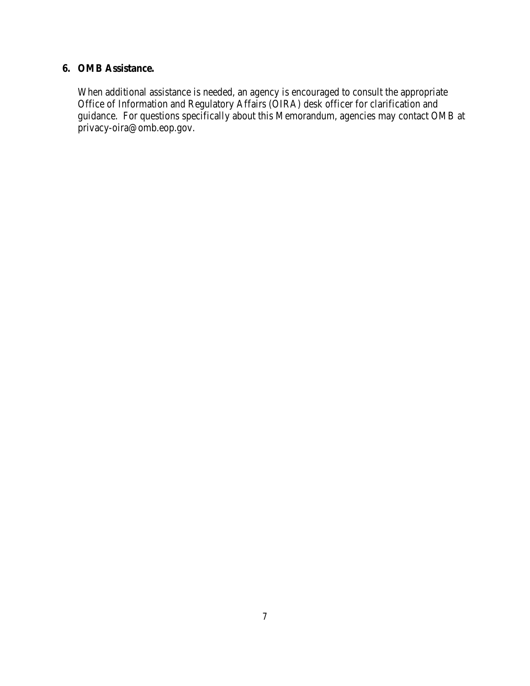# **6. OMB Assistance.**

When additional assistance is needed, an agency is encouraged to consult the appropriate Office of Information and Regulatory Affairs (OIRA) desk officer for clarification and guidance. For questions specifically about this Memorandum, agencies may contact OMB at privacy-oira@omb.eop.gov.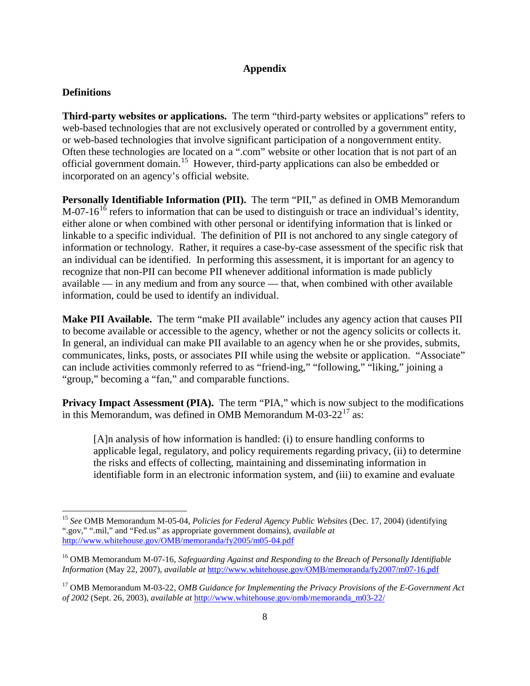## **Appendix**

## **Definitions**

**Third-party websites or applications.** The term "third-party websites or applications" refers to web-based technologies that are not exclusively operated or controlled by a government entity, or web-based technologies that involve significant participation of a nongovernment entity. Often these technologies are located on a ".com" website or other location that is not part of an official government domain.[15](#page-7-0) However, third-party applications can also be embedded or incorporated on an agency's official website.

**Personally Identifiable Information (PII).** The term "PII," as defined in OMB Memorandum M-07-[16](#page-7-1)<sup>16</sup> refers to information that can be used to distinguish or trace an individual's identity, either alone or when combined with other personal or identifying information that is linked or linkable to a specific individual. The definition of PII is not anchored to any single category of information or technology. Rather, it requires a case-by-case assessment of the specific risk that an individual can be identified. In performing this assessment, it is important for an agency to recognize that non-PII can become PII whenever additional information is made publicly available — in any medium and from any source — that, when combined with other available information, could be used to identify an individual.

**Make PII Available.** The term "make PII available" includes any agency action that causes PII to become available or accessible to the agency, whether or not the agency solicits or collects it. In general, an individual can make PII available to an agency when he or she provides, submits, communicates, links, posts, or associates PII while using the website or application. "Associate" can include activities commonly referred to as "friend-ing," "following," "liking," joining a "group," becoming a "fan," and comparable functions.

Privacy Impact Assessment (PIA). The term "PIA," which is now subject to the modifications in this Memorandum, was defined in OMB Memorandum  $M-03-22^{17}$  $M-03-22^{17}$  $M-03-22^{17}$  as:

[A]n analysis of how information is handled: (i) to ensure handling conforms to applicable legal, regulatory, and policy requirements regarding privacy, (ii) to determine the risks and effects of collecting, maintaining and disseminating information in identifiable form in an electronic information system, and (iii) to examine and evaluate

<span id="page-7-0"></span><sup>15</sup> *See* OMB Memorandum M-05-04, *Policies for Federal Agency Public Websites* (Dec. 17, 2004) (identifying ".gov," ".mil," and "Fed.us" as appropriate government domains), *available at*  <http://www.whitehouse.gov/OMB/memoranda/fy2005/m05-04.pdf>

<span id="page-7-1"></span><sup>16</sup> OMB Memorandum M-07-16, *Safeguarding Against and Responding to the Breach of Personally Identifiable Information* (May 22, 2007), *available at* <http://www.whitehouse.gov/OMB/memoranda/fy2007/m07-16.pdf>

<span id="page-7-2"></span><sup>17</sup> OMB Memorandum M-03-22, *OMB Guidance for Implementing the Privacy Provisions of the E-Government Act of 2002* (Sept. 26, 2003), *available at* [http://www.whitehouse.gov/omb/memoranda\\_m03-22/](http://www.whitehouse.gov/omb/memoranda_m03-22/)